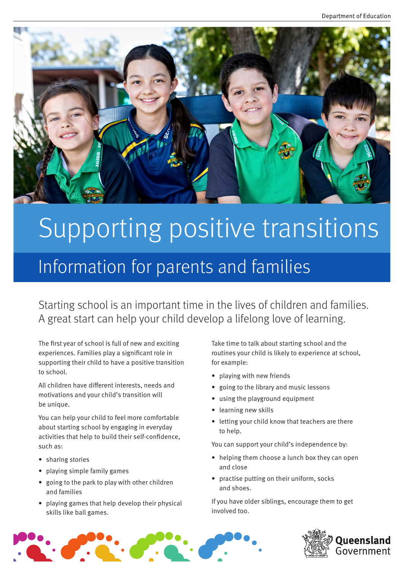

# Supporting positive transitions

## Information for parents and families

Starting school is an important time in the lives of children and families. A great start can help your child develop a lifelong love of learning.

The first year of school is full of new and exciting experiences. Families play a significant role in supporting their child to have a positive transition to school.

All children have different interests, needs and motivations and your child's transition will be unique.

You can help your child to feel more comfortable about starting school by engaging in everyday activities that help to build their self-confidence, such as:

- sharing stories
- playing simple family games
- going to the park to play with other children and families
- playing games that help develop their physical skills like ball games.

Take time to talk about starting school and the routines your child is likely to experience at school, for example:

- playing with new friends
- going to the library and music lessons
- using the playground equipment
- learning new skills
- letting your child know that teachers are there to help.

You can support your child's independence by:

- helping them choose a lunch box they can open and close
- practise putting on their uniform, socks and shoes.

If you have older siblings, encourage them to get involved too.